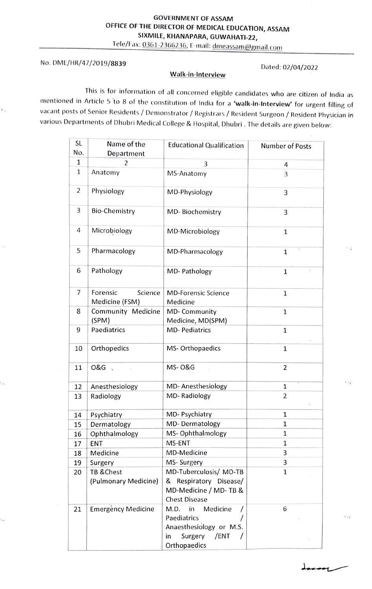Tele/Fax:0361-2366236, E-mail: dmeassam@gmail.com

## No. DME/HR/47/2019/8839 Dated: 02/04/2022

## Walk-in-Interview

This is for information of all concerned eligible candidates who are citizen of India as mentioned in Article 5 to 8 of the constitution of India for a 'walk-in-Interview' for urgent filling of vacant posts of Senior Residents/Demonstrator / Registrars / Resident Surgeon /Resident Physician in various Departments of Dhubri Medical College & Hospital, Dhubri. The details are given below:

| <b>SL</b> | Name of the                           | <b>Educational Qualification</b>                                                                          | <b>Number of Posts</b> |
|-----------|---------------------------------------|-----------------------------------------------------------------------------------------------------------|------------------------|
| No.       | Department                            |                                                                                                           |                        |
| 1         | 2                                     | 3                                                                                                         | 4                      |
| 1         | Anatomy                               | MS-Anatomy                                                                                                | 3                      |
| 2         | Physiology                            | MD-Physiology                                                                                             | 3                      |
| 3         | <b>Bio-Chemistry</b>                  | MD-Biochemistry                                                                                           | 3                      |
| 4         | Microbiology                          | MD-Microbiology                                                                                           | 1                      |
| 5         | Pharmacology                          | MD-Pharmacology                                                                                           | $\mathbf{1}$           |
| 6         | Pathology                             | MD- Pathology                                                                                             | $\mathbf{1}$           |
| 7         | Forensic<br>Science<br>Medicine (FSM) | <b>MD-Forensic Science</b><br>Medicine                                                                    | $\mathbf{1}$           |
| 8         | Community Medicine<br>(SPM)           | MD- Community<br>Medicine, MD(SPM)                                                                        | $\mathbf{1}$           |
| 9         | Paediatrics                           | <b>MD-Pediatrics</b>                                                                                      | 1                      |
| 10        | Orthopedics                           | MS-Orthopaedics                                                                                           | $\mathbf{1}$           |
| 11        | O&G ,                                 | <b>MS-0&amp;G</b>                                                                                         | $\overline{2}$         |
| 12        | Anesthesiology                        | MD-Anesthesiology                                                                                         | 1                      |
| 13        | Radiology                             | MD-Radiology                                                                                              | $\overline{2}$         |
| 14        | Psychiatry                            | MD- Psychiatry                                                                                            | $\mathbf{1}$           |
| 15        | Dermatology                           | MD-Dermatology                                                                                            | 1                      |
| 16        | Ophthalmology                         | MS- Ophthalmology                                                                                         | 1                      |
| 17        | ENT                                   | MS-ENT                                                                                                    | 1                      |
| 18        | Medicine                              | MD-Medicine                                                                                               | 3                      |
| 19        | Surgery                               | MS-Surgery                                                                                                | 3                      |
| 20        | TB & Chest                            | MD-Tuberculosis/ MD-TB                                                                                    | $\mathbf{1}$           |
|           | (Pulmonary Medicine)                  | & Respiratory Disease/<br>MD-Medicine / MD-TB &<br><b>Chest Disease</b>                                   |                        |
| 21        | Emergency Medicine                    | M.D.<br>in<br>Medicine<br>Paediatrics<br>Anaesthesiology or M.S.<br>Surgery<br>/ENT<br>in<br>Orthopaedics | 6                      |

Si s